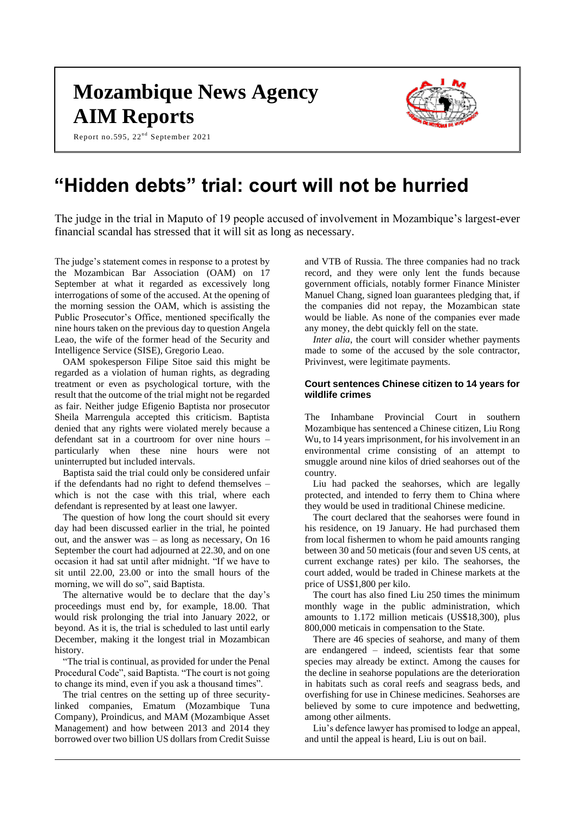# **Mozambique News Agency AIM Reports**

Report no.595, 22<sup>nd</sup> September 2021



# **"Hidden debts" trial: court will not be hurried**

The judge in the trial in Maputo of 19 people accused of involvement in Mozambique's largest-ever financial scandal has stressed that it will sit as long as necessary.

The judge's statement comes in response to a protest by the Mozambican Bar Association (OAM) on 17 September at what it regarded as excessively long interrogations of some of the accused. At the opening of the morning session the OAM, which is assisting the Public Prosecutor's Office, mentioned specifically the nine hours taken on the previous day to question Angela Leao, the wife of the former head of the Security and Intelligence Service (SISE), Gregorio Leao.

OAM spokesperson Filipe Sitoe said this might be regarded as a violation of human rights, as degrading treatment or even as psychological torture, with the result that the outcome of the trial might not be regarded as fair. Neither judge Efigenio Baptista nor prosecutor Sheila Marrengula accepted this criticism. Baptista denied that any rights were violated merely because a defendant sat in a courtroom for over nine hours – particularly when these nine hours were not uninterrupted but included intervals.

Baptista said the trial could only be considered unfair if the defendants had no right to defend themselves – which is not the case with this trial, where each defendant is represented by at least one lawyer.

The question of how long the court should sit every day had been discussed earlier in the trial, he pointed out, and the answer was – as long as necessary, On 16 September the court had adjourned at 22.30, and on one occasion it had sat until after midnight. "If we have to sit until 22.00, 23.00 or into the small hours of the morning, we will do so", said Baptista.

The alternative would be to declare that the day's proceedings must end by, for example, 18.00. That would risk prolonging the trial into January 2022, or beyond. As it is, the trial is scheduled to last until early December, making it the longest trial in Mozambican history.

"The trial is continual, as provided for under the Penal Procedural Code", said Baptista. "The court is not going to change its mind, even if you ask a thousand times".

The trial centres on the setting up of three securitylinked companies, Ematum (Mozambique Tuna Company), Proindicus, and MAM (Mozambique Asset Management) and how between 2013 and 2014 they borrowed over two billion US dollars from Credit Suisse

and VTB of Russia. The three companies had no track record, and they were only lent the funds because government officials, notably former Finance Minister Manuel Chang, signed loan guarantees pledging that, if the companies did not repay, the Mozambican state would be liable. As none of the companies ever made any money, the debt quickly fell on the state.

*Inter alia*, the court will consider whether payments made to some of the accused by the sole contractor, Privinvest, were legitimate payments.

#### **Court sentences Chinese citizen to 14 years for wildlife crimes**

The Inhambane Provincial Court in southern Mozambique has sentenced a Chinese citizen, Liu Rong Wu, to 14 years imprisonment, for his involvement in an environmental crime consisting of an attempt to smuggle around nine kilos of dried seahorses out of the country.

Liu had packed the seahorses, which are legally protected, and intended to ferry them to China where they would be used in traditional Chinese medicine.

The court declared that the seahorses were found in his residence, on 19 January. He had purchased them from local fishermen to whom he paid amounts ranging between 30 and 50 meticais (four and seven US cents, at current exchange rates) per kilo. The seahorses, the court added, would be traded in Chinese markets at the price of US\$1,800 per kilo.

The court has also fined Liu 250 times the minimum monthly wage in the public administration, which amounts to 1.172 million meticais (US\$18,300), plus 800,000 meticais in compensation to the State.

There are 46 species of seahorse, and many of them are endangered – indeed, scientists fear that some species may already be extinct. Among the causes for the decline in seahorse populations are the deterioration in habitats such as coral reefs and seagrass beds, and overfishing for use in Chinese medicines. Seahorses are believed by some to cure impotence and bedwetting, among other ailments.

Liu's defence lawyer has promised to lodge an appeal, and until the appeal is heard, Liu is out on bail.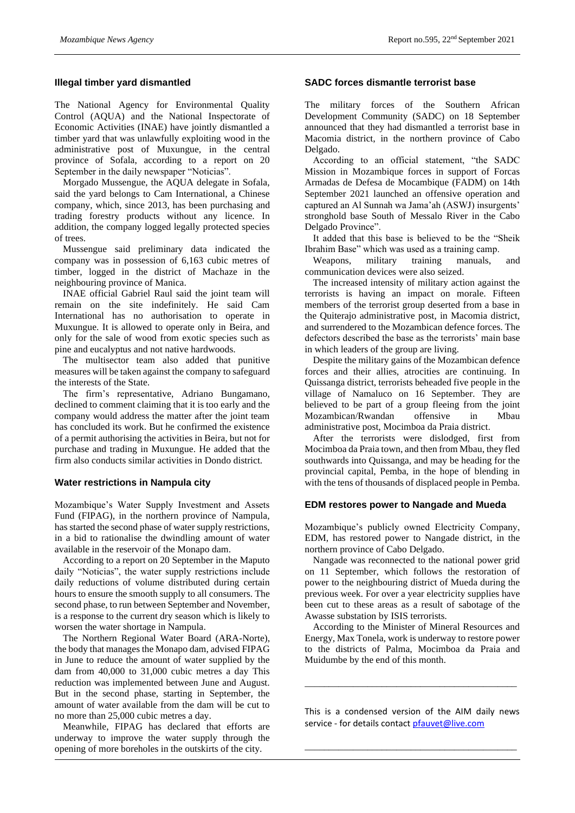#### **Illegal timber yard dismantled**

The National Agency for Environmental Quality Control (AQUA) and the National Inspectorate of Economic Activities (INAE) have jointly dismantled a timber yard that was unlawfully exploiting wood in the administrative post of Muxungue, in the central province of Sofala, according to a report on 20 September in the daily newspaper "Noticias".

Morgado Mussengue, the AQUA delegate in Sofala, said the yard belongs to Cam International, a Chinese company, which, since 2013, has been purchasing and trading forestry products without any licence. In addition, the company logged legally protected species of trees.

Mussengue said preliminary data indicated the company was in possession of 6,163 cubic metres of timber, logged in the district of Machaze in the neighbouring province of Manica.

INAE official Gabriel Raul said the joint team will remain on the site indefinitely. He said Cam International has no authorisation to operate in Muxungue. It is allowed to operate only in Beira, and only for the sale of wood from exotic species such as pine and eucalyptus and not native hardwoods.

The multisector team also added that punitive measures will be taken against the company to safeguard the interests of the State.

The firm's representative, Adriano Bungamano, declined to comment claiming that it is too early and the company would address the matter after the joint team has concluded its work. But he confirmed the existence of a permit authorising the activities in Beira, but not for purchase and trading in Muxungue. He added that the firm also conducts similar activities in Dondo district.

#### **Water restrictions in Nampula city**

Mozambique's Water Supply Investment and Assets Fund (FIPAG), in the northern province of Nampula, has started the second phase of water supply restrictions, in a bid to rationalise the dwindling amount of water available in the reservoir of the Monapo dam.

According to a report on 20 September in the Maputo daily "Noticias", the water supply restrictions include daily reductions of volume distributed during certain hours to ensure the smooth supply to all consumers. The second phase, to run between September and November, is a response to the current dry season which is likely to worsen the water shortage in Nampula.

The Northern Regional Water Board (ARA-Norte), the body that manages the Monapo dam, advised FIPAG in June to reduce the amount of water supplied by the dam from 40,000 to 31,000 cubic metres a day This reduction was implemented between June and August. But in the second phase, starting in September, the amount of water available from the dam will be cut to no more than 25,000 cubic metres a day.

Meanwhile, FIPAG has declared that efforts are underway to improve the water supply through the opening of more boreholes in the outskirts of the city.

## **SADC forces dismantle terrorist base**

The military forces of the Southern African Development Community (SADC) on 18 September announced that they had dismantled a terrorist base in Macomia district, in the northern province of Cabo Delgado.

According to an official statement, "the SADC Mission in Mozambique forces in support of Forcas Armadas de Defesa de Mocambique (FADM) on 14th September 2021 launched an offensive operation and captured an Al Sunnah wa Jama'ah (ASWJ) insurgents' stronghold base South of Messalo River in the Cabo Delgado Province".

It added that this base is believed to be the "Sheik Ibrahim Base" which was used as a training camp.

Weapons, military training manuals, and communication devices were also seized.

The increased intensity of military action against the terrorists is having an impact on morale. Fifteen members of the terrorist group deserted from a base in the Quiterajo administrative post, in Macomia district, and surrendered to the Mozambican defence forces. The defectors described the base as the terrorists' main base in which leaders of the group are living.

Despite the military gains of the Mozambican defence forces and their allies, atrocities are continuing. In Quissanga district, terrorists beheaded five people in the village of Namaluco on 16 September. They are believed to be part of a group fleeing from the joint Mozambican/Rwandan offensive in Mbau administrative post, Mocimboa da Praia district.

After the terrorists were dislodged, first from Mocimboa da Praia town, and then from Mbau, they fled southwards into Quissanga, and may be heading for the provincial capital, Pemba, in the hope of blending in with the tens of thousands of displaced people in Pemba.

#### **EDM restores power to Nangade and Mueda**

Mozambique's publicly owned Electricity Company, EDM, has restored power to Nangade district, in the northern province of Cabo Delgado.

Nangade was reconnected to the national power grid on 11 September, which follows the restoration of power to the neighbouring district of Mueda during the previous week. For over a year electricity supplies have been cut to these areas as a result of sabotage of the Awasse substation by ISIS terrorists.

According to the Minister of Mineral Resources and Energy, Max Tonela, work is underway to restore power to the districts of Palma, Mocimboa da Praia and Muidumbe by the end of this month.

This is a condensed version of the AIM daily news service - for details contac[t pfauvet@live.com](mailto:pfauvet@live.com)

\_\_\_\_\_\_\_\_\_\_\_\_\_\_\_\_\_\_\_\_\_\_\_\_\_\_\_\_\_\_\_\_\_\_\_\_\_\_\_\_\_\_\_\_

\_\_\_\_\_\_\_\_\_\_\_\_\_\_\_\_\_\_\_\_\_\_\_\_\_\_\_\_\_\_\_\_\_\_\_\_\_\_\_\_\_\_\_\_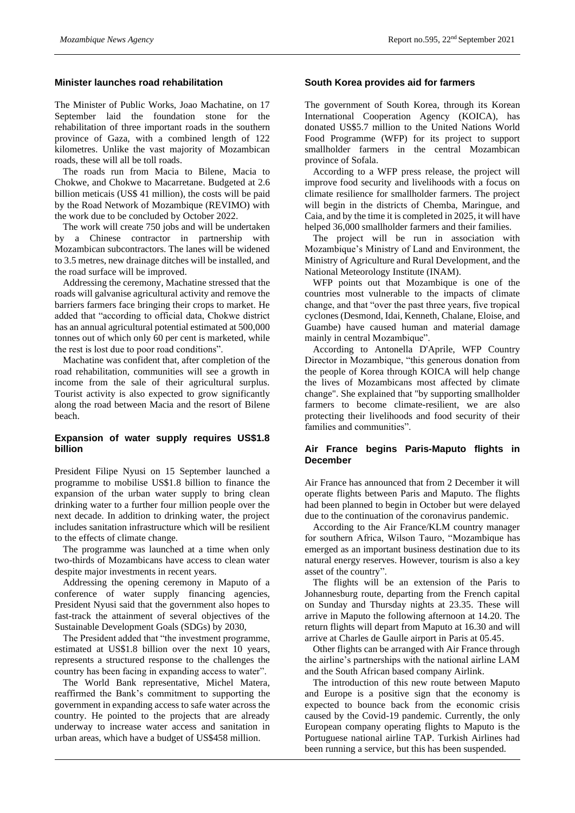#### **Minister launches road rehabilitation**

The Minister of Public Works, Joao Machatine, on 17 September laid the foundation stone for the rehabilitation of three important roads in the southern province of Gaza, with a combined length of 122 kilometres. Unlike the vast majority of Mozambican roads, these will all be toll roads.

The roads run from Macia to Bilene, Macia to Chokwe, and Chokwe to Macarretane. Budgeted at 2.6 billion meticais (US\$ 41 million), the costs will be paid by the Road Network of Mozambique (REVIMO) with the work due to be concluded by October 2022.

The work will create 750 jobs and will be undertaken by a Chinese contractor in partnership with Mozambican subcontractors. The lanes will be widened to 3.5 metres, new drainage ditches will be installed, and the road surface will be improved.

Addressing the ceremony, Machatine stressed that the roads will galvanise agricultural activity and remove the barriers farmers face bringing their crops to market. He added that "according to official data, Chokwe district has an annual agricultural potential estimated at 500,000 tonnes out of which only 60 per cent is marketed, while the rest is lost due to poor road conditions".

Machatine was confident that, after completion of the road rehabilitation, communities will see a growth in income from the sale of their agricultural surplus. Tourist activity is also expected to grow significantly along the road between Macia and the resort of Bilene beach.

### **Expansion of water supply requires US\$1.8 billion**

President Filipe Nyusi on 15 September launched a programme to mobilise US\$1.8 billion to finance the expansion of the urban water supply to bring clean drinking water to a further four million people over the next decade. In addition to drinking water, the project includes sanitation infrastructure which will be resilient to the effects of climate change.

The programme was launched at a time when only two-thirds of Mozambicans have access to clean water despite major investments in recent years.

Addressing the opening ceremony in Maputo of a conference of water supply financing agencies, President Nyusi said that the government also hopes to fast-track the attainment of several objectives of the Sustainable Development Goals (SDGs) by 2030,

The President added that "the investment programme, estimated at US\$1.8 billion over the next 10 years, represents a structured response to the challenges the country has been facing in expanding access to water".

The World Bank representative, Michel Matera, reaffirmed the Bank's commitment to supporting the government in expanding access to safe water across the country. He pointed to the projects that are already underway to increase water access and sanitation in urban areas, which have a budget of US\$458 million.

## **South Korea provides aid for farmers**

The government of South Korea, through its Korean International Cooperation Agency (KOICA), has donated US\$5.7 million to the United Nations World Food Programme (WFP) for its project to support smallholder farmers in the central Mozambican province of Sofala.

According to a WFP press release, the project will improve food security and livelihoods with a focus on climate resilience for smallholder farmers. The project will begin in the districts of Chemba, Maringue, and Caia, and by the time it is completed in 2025, it will have helped 36,000 smallholder farmers and their families.

The project will be run in association with Mozambique's Ministry of Land and Environment, the Ministry of Agriculture and Rural Development, and the National Meteorology Institute (INAM).

WFP points out that Mozambique is one of the countries most vulnerable to the impacts of climate change, and that "over the past three years, five tropical cyclones (Desmond, Idai, Kenneth, Chalane, Eloise, and Guambe) have caused human and material damage mainly in central Mozambique".

According to Antonella D'Aprile, WFP Country Director in Mozambique, "this generous donation from the people of Korea through KOICA will help change the lives of Mozambicans most affected by climate change". She explained that "by supporting smallholder farmers to become climate-resilient, we are also protecting their livelihoods and food security of their families and communities".

### **Air France begins Paris-Maputo flights in December**

Air France has announced that from 2 December it will operate flights between Paris and Maputo. The flights had been planned to begin in October but were delayed due to the continuation of the coronavirus pandemic.

According to the Air France/KLM country manager for southern Africa, Wilson Tauro, "Mozambique has emerged as an important business destination due to its natural energy reserves. However, tourism is also a key asset of the country".

The flights will be an extension of the Paris to Johannesburg route, departing from the French capital on Sunday and Thursday nights at 23.35. These will arrive in Maputo the following afternoon at 14.20. The return flights will depart from Maputo at 16.30 and will arrive at Charles de Gaulle airport in Paris at 05.45.

Other flights can be arranged with Air France through the airline's partnerships with the national airline LAM and the South African based company Airlink.

The introduction of this new route between Maputo and Europe is a positive sign that the economy is expected to bounce back from the economic crisis caused by the Covid-19 pandemic. Currently, the only European company operating flights to Maputo is the Portuguese national airline TAP. Turkish Airlines had been running a service, but this has been suspended.